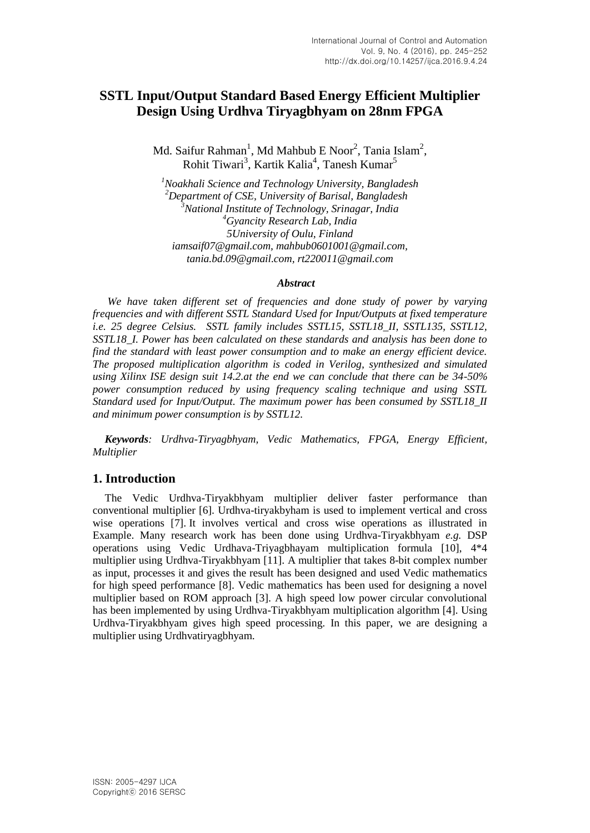# **SSTL Input/Output Standard Based Energy Efficient Multiplier Design Using Urdhva Tiryagbhyam on 28nm FPGA**

Md. Saifur Rahman<sup>1</sup>, Md Mahbub E Noor<sup>2</sup>, Tania Islam<sup>2</sup>, Rohit Tiwari<sup>3</sup>, Kartik Kalia<sup>4</sup>, Tanesh Kumar<sup>5</sup>

*<sup>1</sup>Noakhali Science and Technology University, Bangladesh <sup>2</sup>Department of CSE, University of Barisal, Bangladesh <sup>3</sup>National Institute of Technology, Srinagar, India <sup>4</sup>Gyancity Research Lab, India 5University of Oulu, Finland iamsaif07@gmail.com, mahbub0601001@gmail.com, tania.bd.09@gmail.com, [rt220011@gmail.com](mailto:rt220011@gmail.com)*

#### *Abstract*

*We have taken different set of frequencies and done study of power by varying frequencies and with different SSTL Standard Used for Input/Outputs at fixed temperature i.e. 25 degree Celsius. SSTL family includes SSTL15, SSTL18\_II, SSTL135, SSTL12, SSTL18\_I. Power has been calculated on these standards and analysis has been done to find the standard with least power consumption and to make an energy efficient device. The proposed multiplication algorithm is coded in Verilog, synthesized and simulated using Xilinx ISE design suit 14.2.at the end we can conclude that there can be 34-50% power consumption reduced by using frequency scaling technique and using SSTL Standard used for Input/Output. The maximum power has been consumed by SSTL18\_II and minimum power consumption is by SSTL12.*

*Keywords: Urdhva-Tiryagbhyam, Vedic Mathematics, FPGA, Energy Efficient, Multiplier*

#### **1. Introduction**

The Vedic Urdhva-Tiryakbhyam multiplier deliver faster performance than conventional multiplier [6]. Urdhva-tiryakbyham is used to implement vertical and cross wise operations [7]. It involves vertical and cross wise operations as illustrated in Example. Many research work has been done using Urdhva-Tiryakbhyam *e.g.* DSP operations using Vedic Urdhava-Triyagbhayam multiplication formula [10], 4\*4 multiplier using Urdhva-Tiryakbhyam [11]. A multiplier that takes 8-bit complex number as input, processes it and gives the result has been designed and used Vedic mathematics for high speed performance [8]. Vedic mathematics has been used for designing a novel multiplier based on ROM approach [3]. A high speed low power circular convolutional has been implemented by using Urdhva-Tiryakbhyam multiplication algorithm [4]. Using Urdhva-Tiryakbhyam gives high speed processing. In this paper, we are designing a multiplier using Urdhvatiryagbhyam.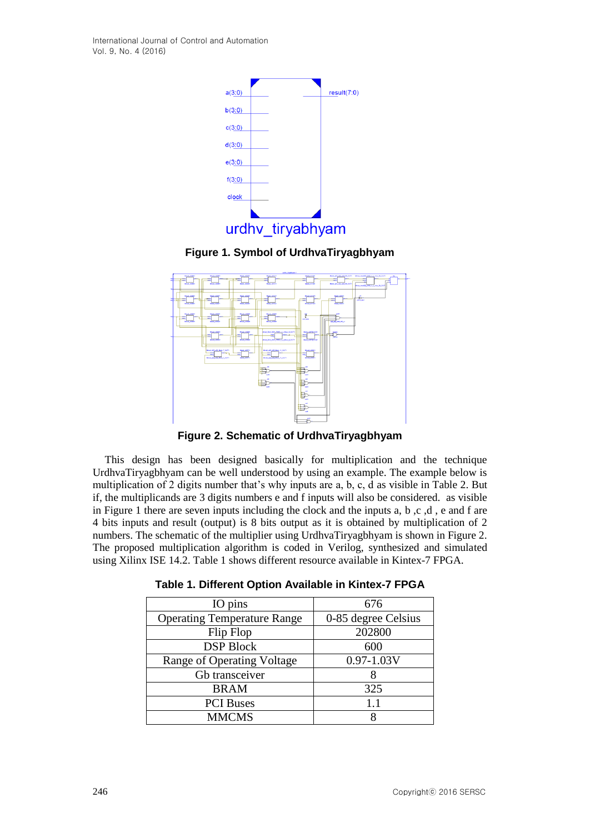International Journal of Control and Automation Vol. 9, No. 4 (2016)



**Figure 1. Symbol of UrdhvaTiryagbhyam**



**Figure 2. Schematic of UrdhvaTiryagbhyam**

This design has been designed basically for multiplication and the technique UrdhvaTiryagbhyam can be well understood by using an example. The example below is multiplication of 2 digits number that's why inputs are a, b, c, d as visible in Table 2. But if, the multiplicands are 3 digits numbers e and f inputs will also be considered. as visible in Figure 1 there are seven inputs including the clock and the inputs a, b,c,d, e and f are 4 bits inputs and result (output) is 8 bits output as it is obtained by multiplication of 2 numbers. The schematic of the multiplier using UrdhvaTiryagbhyam is shown in Figure 2. The proposed multiplication algorithm is coded in Verilog, synthesized and simulated using Xilinx ISE 14.2. Table 1 shows different resource available in Kintex-7 FPGA.

| IO pins                            | 676                 |  |  |
|------------------------------------|---------------------|--|--|
| <b>Operating Temperature Range</b> | 0-85 degree Celsius |  |  |
| Flip Flop                          | 202800              |  |  |
| <b>DSP Block</b>                   | 600                 |  |  |
| Range of Operating Voltage         | $0.97 - 1.03V$      |  |  |
| Gb transceiver                     |                     |  |  |
| <b>BRAM</b>                        | 325                 |  |  |
| <b>PCI</b> Buses                   | 1.1                 |  |  |
| <b>MMCMS</b>                       |                     |  |  |

**Table 1. Different Option Available in Kintex-7 FPGA**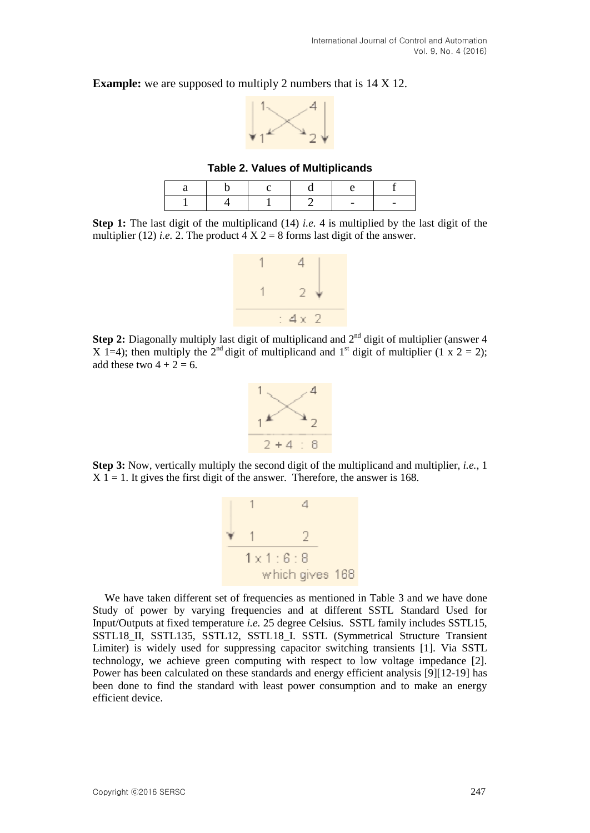**Example:** we are supposed to multiply 2 numbers that is  $14 \times 12$ .



**Table 2. Values of Multiplicands**

**Step 1:** The last digit of the multiplicand (14) *i.e.* 4 is multiplied by the last digit of the multiplier (12) *i.e.* 2. The product  $\overline{4}$  X 2 = 8 forms last digit of the answer.



**Step 2:** Diagonally multiply last digit of multiplicand and  $2<sup>nd</sup>$  digit of multiplier (answer 4 X 1=4); then multiply the 2<sup>nd</sup> digit of multiplicand and 1<sup>st</sup> digit of multiplier (1 x 2 = 2); add these two  $4 + 2 = 6$ .



**Step 3:** Now, vertically multiply the second digit of the multiplicand and multiplier, *i.e.*, 1  $X$  1 = 1. It gives the first digit of the answer. Therefore, the answer is 168.



We have taken different set of frequencies as mentioned in Table 3 and we have done Study of power by varying frequencies and at different SSTL Standard Used for Input/Outputs at fixed temperature *i.e.* 25 degree Celsius. SSTL family includes SSTL15, SSTL18\_II, SSTL135, SSTL12, SSTL18\_I. SSTL (Symmetrical Structure Transient Limiter) is widely used for suppressing capacitor switching transients [1]. Via SSTL technology, we achieve green computing with respect to low voltage impedance [2]. Power has been calculated on these standards and energy efficient analysis [9][12-19] has been done to find the standard with least power consumption and to make an energy efficient device.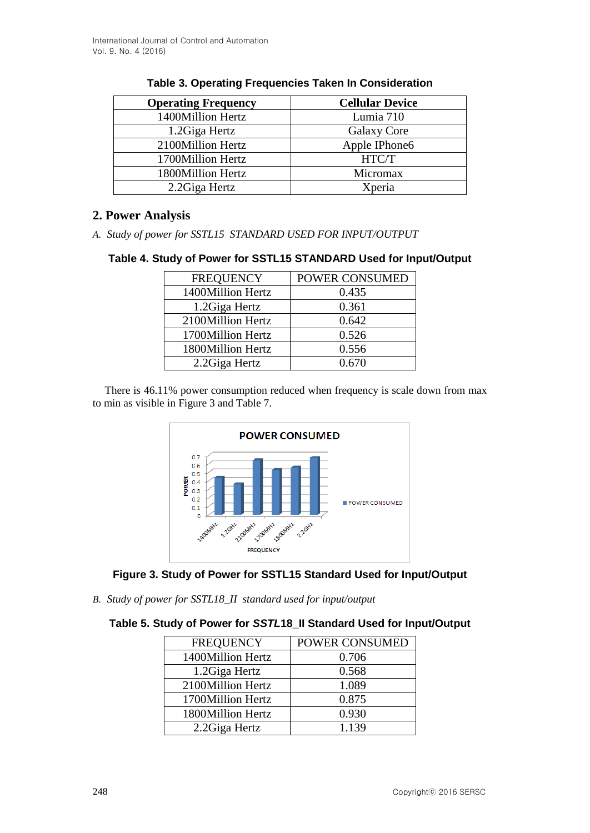| <b>Operating Frequency</b> | <b>Cellular Device</b> |
|----------------------------|------------------------|
| 1400Million Hertz          | Lumia 710              |
| 1.2Giga Hertz              | Galaxy Core            |
| 2100Million Hertz          | Apple IPhone6          |
| 1700Million Hertz          | HTC/T                  |
| 1800Million Hertz          | Micromax               |
| 2.2 Giga Hertz             | Xperia                 |

## **Table 3. Operating Frequencies Taken In Consideration**

## **2. Power Analysis**

*A. Study of power for SSTL15 STANDARD USED FOR INPUT/OUTPUT*

## **Table 4. Study of Power for SSTL15 STANDARD Used for Input/Output**

| <b>FREQUENCY</b>  | POWER CONSUMED |
|-------------------|----------------|
| 1400Million Hertz | 0.435          |
| 1.2Giga Hertz     | 0.361          |
| 2100Million Hertz | 0.642          |
| 1700Million Hertz | 0.526          |
| 1800Million Hertz | 0.556          |
| 2.2 Giga Hertz    | 0.670          |

There is 46.11% power consumption reduced when frequency is scale down from max to min as visible in Figure 3 and Table 7.





*B. Study of power for SSTL18\_II standard used for input/output* 

## **Table 5. Study of Power for** *SSTL***18\_II Standard Used for Input/Output**

| <b>FREQUENCY</b>  | POWER CONSUMED |
|-------------------|----------------|
| 1400Million Hertz | 0.706          |
| 1.2Giga Hertz     | 0.568          |
| 2100Million Hertz | 1.089          |
| 1700Million Hertz | 0.875          |
| 1800Million Hertz | 0.930          |
| 2.2 Giga Hertz    | 1.139          |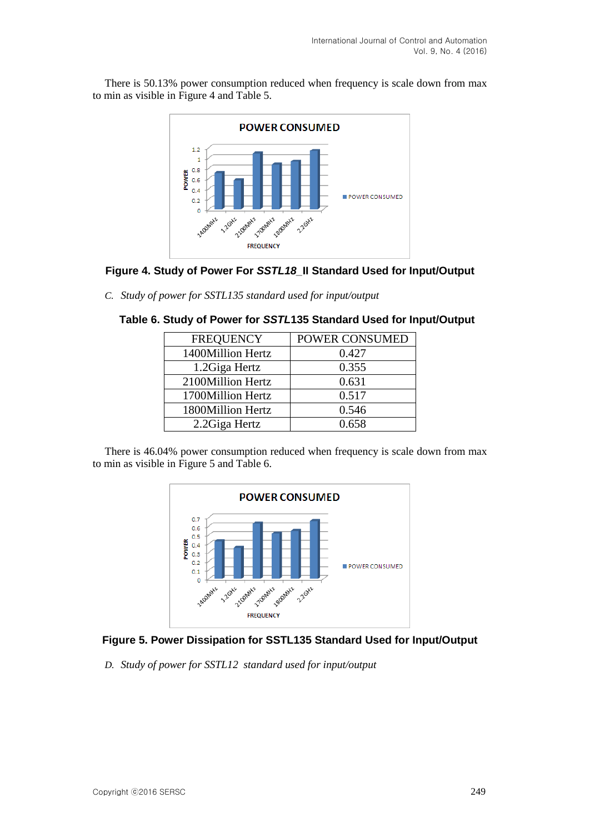There is 50.13% power consumption reduced when frequency is scale down from max to min as visible in Figure 4 and Table 5.



### **Figure 4. Study of Power For** *SSTL18\_***II Standard Used for Input/Output**

*C. Study of power for SSTL135 standard used for input/output* 

| <b>FREQUENCY</b>  | POWER CONSUMED |
|-------------------|----------------|
| 1400Million Hertz | 0.427          |
| 1.2Giga Hertz     | 0.355          |
| 2100Million Hertz | 0.631          |
| 1700Million Hertz | 0.517          |
| 1800Million Hertz | 0.546          |
| 2.2 Giga Hertz    | 0.658          |

### **Table 6. Study of Power for** *SSTL***135 Standard Used for Input/Output**

There is 46.04% power consumption reduced when frequency is scale down from max to min as visible in Figure 5 and Table 6.



## **Figure 5. Power Dissipation for SSTL135 Standard Used for Input/Output**

*D. Study of power for SSTL12 standard used for input/output*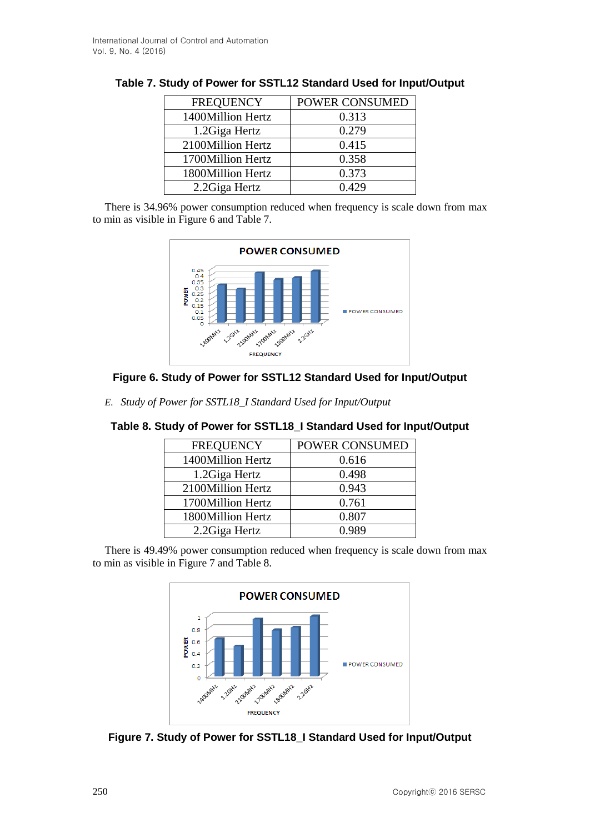| <b>FREQUENCY</b>  | POWER CONSUMED |  |  |
|-------------------|----------------|--|--|
| 1400Million Hertz | 0.313          |  |  |
| 1.2Giga Hertz     | 0.279          |  |  |
| 2100Million Hertz | 0.415          |  |  |
| 1700Million Hertz | 0.358          |  |  |
| 1800Million Hertz | 0.373          |  |  |
| 2.2 Giga Hertz    | 0.429          |  |  |

There is 34.96% power consumption reduced when frequency is scale down from max to min as visible in Figure 6 and Table 7.



## **Figure 6. Study of Power for SSTL12 Standard Used for Input/Output**

*E. Study of Power for SSTL18\_I Standard Used for Input/Output* 

| <b>FREQUENCY</b>  | POWER CONSUMED |
|-------------------|----------------|
| 1400Million Hertz | 0.616          |
| 1.2Giga Hertz     | 0.498          |
| 2100Million Hertz | 0.943          |
| 1700Million Hertz | 0.761          |
| 1800Million Hertz | 0.807          |
| 2.2 Giga Hertz    | 0.989          |

## **Table 8. Study of Power for SSTL18\_I Standard Used for Input/Output**

There is 49.49% power consumption reduced when frequency is scale down from max to min as visible in Figure 7 and Table 8.



**Figure 7. Study of Power for SSTL18\_I Standard Used for Input/Output**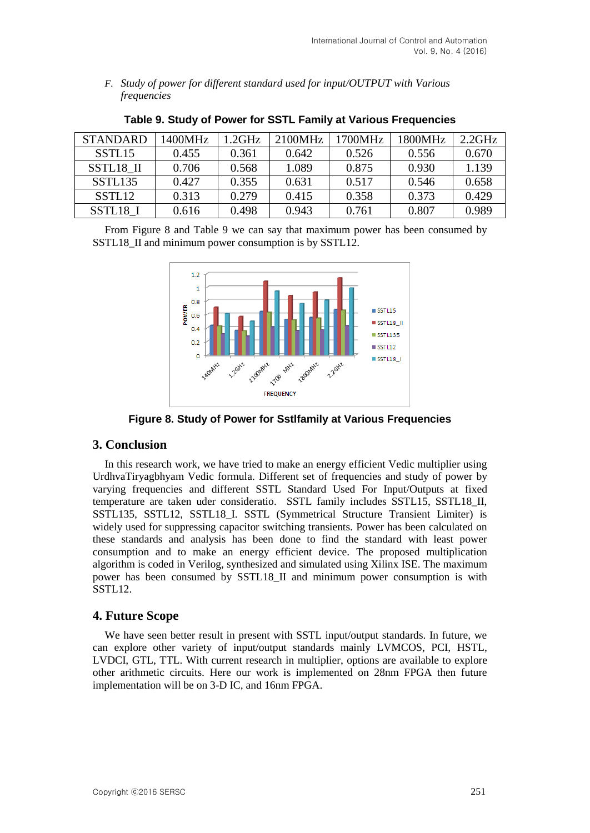*F. Study of power for different standard used for input/OUTPUT with Various frequencies*

| <b>STANDARD</b>    | 1400MHz | .2GHz | 2100MHz | 1700MHz | 1800MHz | 2.2GHz |
|--------------------|---------|-------|---------|---------|---------|--------|
| SSTL <sub>15</sub> | 0.455   | 0.361 | 0.642   | 0.526   | 0.556   | 0.670  |
| SSTL18 II          | 0.706   | 0.568 | 1.089   | 0.875   | 0.930   | 1.139  |
| SSTL135            | 0.427   | 0.355 | 0.631   | 0.517   | 0.546   | 0.658  |
| SSTL <sub>12</sub> | 0.313   | 0.279 | 0.415   | 0.358   | 0.373   | 0.429  |
| SSTL18 I           | 0.616   | 0.498 | 0.943   | 0.761   | 0.807   | 0.989  |

**Table 9. Study of Power for SSTL Family at Various Frequencies**

From Figure 8 and Table 9 we can say that maximum power has been consumed by SSTL18\_II and minimum power consumption is by SSTL12.



**Figure 8. Study of Power for Sstlfamily at Various Frequencies**

## **3. Conclusion**

In this research work, we have tried to make an energy efficient Vedic multiplier using UrdhvaTiryagbhyam Vedic formula. Different set of frequencies and study of power by varying frequencies and different SSTL Standard Used For Input/Outputs at fixed temperature are taken uder consideratio. SSTL family includes SSTL15, SSTL18\_II, SSTL135, SSTL12, SSTL18\_I. SSTL (Symmetrical Structure Transient Limiter) is widely used for suppressing capacitor switching transients. Power has been calculated on these standards and analysis has been done to find the standard with least power consumption and to make an energy efficient device. The proposed multiplication algorithm is coded in Verilog, synthesized and simulated using Xilinx ISE. The maximum power has been consumed by SSTL18\_II and minimum power consumption is with SSTL12.

## **4. Future Scope**

We have seen better result in present with SSTL input/output standards. In future, we can explore other variety of input/output standards mainly LVMCOS, PCI, HSTL, LVDCI, GTL, TTL. With current research in multiplier, options are available to explore other arithmetic circuits. Here our work is implemented on 28nm FPGA then future implementation will be on 3-D IC, and 16nm FPGA.